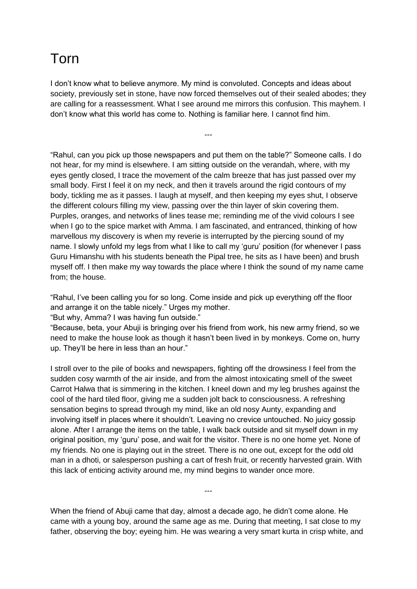## Torn

I don't know what to believe anymore. My mind is convoluted. Concepts and ideas about society, previously set in stone, have now forced themselves out of their sealed abodes; they are calling for a reassessment. What I see around me mirrors this confusion. This mayhem. I don't know what this world has come to. Nothing is familiar here. I cannot find him.

---

"Rahul, can you pick up those newspapers and put them on the table?" Someone calls. I do not hear, for my mind is elsewhere. I am sitting outside on the verandah, where, with my eyes gently closed, I trace the movement of the calm breeze that has just passed over my small body. First I feel it on my neck, and then it travels around the rigid contours of my body, tickling me as it passes. I laugh at myself, and then keeping my eyes shut, I observe the different colours filling my view, passing over the thin layer of skin covering them. Purples, oranges, and networks of lines tease me; reminding me of the vivid colours I see when I go to the spice market with Amma. I am fascinated, and entranced, thinking of how marvellous my discovery is when my reverie is interrupted by the piercing sound of my name. I slowly unfold my legs from what I like to call my 'guru' position (for whenever I pass Guru Himanshu with his students beneath the Pipal tree, he sits as I have been) and brush myself off. I then make my way towards the place where I think the sound of my name came from; the house.

"Rahul, I've been calling you for so long. Come inside and pick up everything off the floor and arrange it on the table nicely." Urges my mother.

"But why, Amma? I was having fun outside."

"Because, beta, your Abuji is bringing over his friend from work, his new army friend, so we need to make the house look as though it hasn't been lived in by monkeys. Come on, hurry up. They'll be here in less than an hour."

I stroll over to the pile of books and newspapers, fighting off the drowsiness I feel from the sudden cosy warmth of the air inside, and from the almost intoxicating smell of the sweet Carrot Halwa that is simmering in the kitchen. I kneel down and my leg brushes against the cool of the hard tiled floor, giving me a sudden jolt back to consciousness. A refreshing sensation begins to spread through my mind, like an old nosy Aunty, expanding and involving itself in places where it shouldn't. Leaving no crevice untouched. No juicy gossip alone. After I arrange the items on the table, I walk back outside and sit myself down in my original position, my 'guru' pose, and wait for the visitor. There is no one home yet. None of my friends. No one is playing out in the street. There is no one out, except for the odd old man in a dhoti, or salesperson pushing a cart of fresh fruit, or recently harvested grain. With this lack of enticing activity around me, my mind begins to wander once more.

When the friend of Abuji came that day, almost a decade ago, he didn't come alone. He came with a young boy, around the same age as me. During that meeting, I sat close to my father, observing the boy; eyeing him. He was wearing a very smart kurta in crisp white, and

---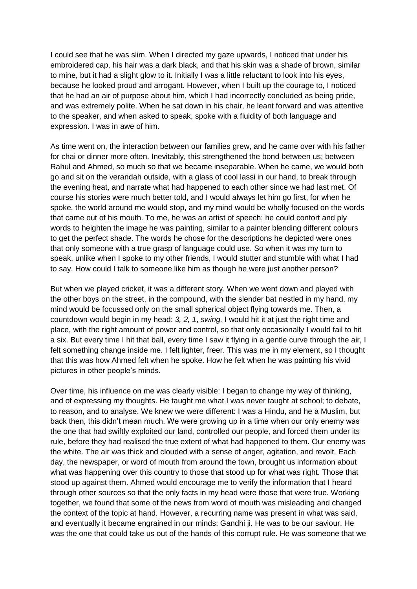I could see that he was slim. When I directed my gaze upwards, I noticed that under his embroidered cap, his hair was a dark black, and that his skin was a shade of brown, similar to mine, but it had a slight glow to it. Initially I was a little reluctant to look into his eyes, because he looked proud and arrogant. However, when I built up the courage to, I noticed that he had an air of purpose about him, which I had incorrectly concluded as being pride, and was extremely polite. When he sat down in his chair, he leant forward and was attentive to the speaker, and when asked to speak, spoke with a fluidity of both language and expression. I was in awe of him.

As time went on, the interaction between our families grew, and he came over with his father for chai or dinner more often. Inevitably, this strengthened the bond between us; between Rahul and Ahmed, so much so that we became inseparable. When he came, we would both go and sit on the verandah outside, with a glass of cool lassi in our hand, to break through the evening heat, and narrate what had happened to each other since we had last met. Of course his stories were much better told, and I would always let him go first, for when he spoke, the world around me would stop, and my mind would be wholly focused on the words that came out of his mouth. To me, he was an artist of speech; he could contort and ply words to heighten the image he was painting, similar to a painter blending different colours to get the perfect shade. The words he chose for the descriptions he depicted were ones that only someone with a true grasp of language could use. So when it was my turn to speak, unlike when I spoke to my other friends, I would stutter and stumble with what I had to say. How could I talk to someone like him as though he were just another person?

But when we played cricket, it was a different story. When we went down and played with the other boys on the street, in the compound, with the slender bat nestled in my hand, my mind would be focussed only on the small spherical object flying towards me. Then, a countdown would begin in my head: *3, 2, 1*, *swing.* I would hit it at just the right time and place, with the right amount of power and control, so that only occasionally I would fail to hit a six. But every time I hit that ball, every time I saw it flying in a gentle curve through the air, I felt something change inside me. I felt lighter, freer. This was me in my element, so I thought that this was how Ahmed felt when he spoke. How he felt when he was painting his vivid pictures in other people's minds.

Over time, his influence on me was clearly visible: I began to change my way of thinking, and of expressing my thoughts. He taught me what I was never taught at school; to debate, to reason, and to analyse. We knew we were different: I was a Hindu, and he a Muslim, but back then, this didn't mean much. We were growing up in a time when our only enemy was the one that had swiftly exploited our land, controlled our people, and forced them under its rule, before they had realised the true extent of what had happened to them. Our enemy was the white. The air was thick and clouded with a sense of anger, agitation, and revolt. Each day, the newspaper, or word of mouth from around the town, brought us information about what was happening over this country to those that stood up for what was right. Those that stood up against them. Ahmed would encourage me to verify the information that I heard through other sources so that the only facts in my head were those that were true. Working together, we found that some of the news from word of mouth was misleading and changed the context of the topic at hand. However, a recurring name was present in what was said, and eventually it became engrained in our minds: Gandhi ji. He was to be our saviour. He was the one that could take us out of the hands of this corrupt rule. He was someone that we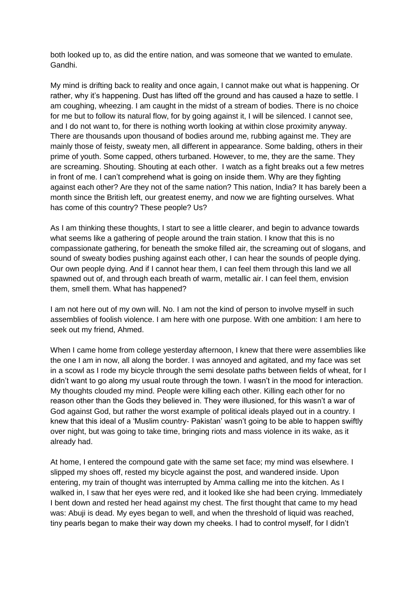both looked up to, as did the entire nation, and was someone that we wanted to emulate. Gandhi.

My mind is drifting back to reality and once again, I cannot make out what is happening. Or rather, why it's happening. Dust has lifted off the ground and has caused a haze to settle. I am coughing, wheezing. I am caught in the midst of a stream of bodies. There is no choice for me but to follow its natural flow, for by going against it, I will be silenced. I cannot see, and I do not want to, for there is nothing worth looking at within close proximity anyway. There are thousands upon thousand of bodies around me, rubbing against me. They are mainly those of feisty, sweaty men, all different in appearance. Some balding, others in their prime of youth. Some capped, others turbaned. However, to me, they are the same. They are screaming. Shouting. Shouting at each other. I watch as a fight breaks out a few metres in front of me. I can't comprehend what is going on inside them. Why are they fighting against each other? Are they not of the same nation? This nation, India? It has barely been a month since the British left, our greatest enemy, and now we are fighting ourselves. What has come of this country? These people? Us?

As I am thinking these thoughts, I start to see a little clearer, and begin to advance towards what seems like a gathering of people around the train station. I know that this is no compassionate gathering, for beneath the smoke filled air, the screaming out of slogans, and sound of sweaty bodies pushing against each other, I can hear the sounds of people dying. Our own people dying. And if I cannot hear them, I can feel them through this land we all spawned out of, and through each breath of warm, metallic air. I can feel them, envision them, smell them. What has happened?

I am not here out of my own will. No. I am not the kind of person to involve myself in such assemblies of foolish violence. I am here with one purpose. With one ambition: I am here to seek out my friend, Ahmed.

When I came home from college yesterday afternoon, I knew that there were assemblies like the one I am in now, all along the border. I was annoyed and agitated, and my face was set in a scowl as I rode my bicycle through the semi desolate paths between fields of wheat, for I didn't want to go along my usual route through the town. I wasn't in the mood for interaction. My thoughts clouded my mind. People were killing each other. Killing each other for no reason other than the Gods they believed in. They were illusioned, for this wasn't a war of God against God, but rather the worst example of political ideals played out in a country. I knew that this ideal of a 'Muslim country- Pakistan' wasn't going to be able to happen swiftly over night, but was going to take time, bringing riots and mass violence in its wake, as it already had.

At home, I entered the compound gate with the same set face; my mind was elsewhere. I slipped my shoes off, rested my bicycle against the post, and wandered inside. Upon entering, my train of thought was interrupted by Amma calling me into the kitchen. As I walked in, I saw that her eyes were red, and it looked like she had been crying. Immediately I bent down and rested her head against my chest. The first thought that came to my head was: Abuji is dead. My eyes began to well, and when the threshold of liquid was reached, tiny pearls began to make their way down my cheeks. I had to control myself, for I didn't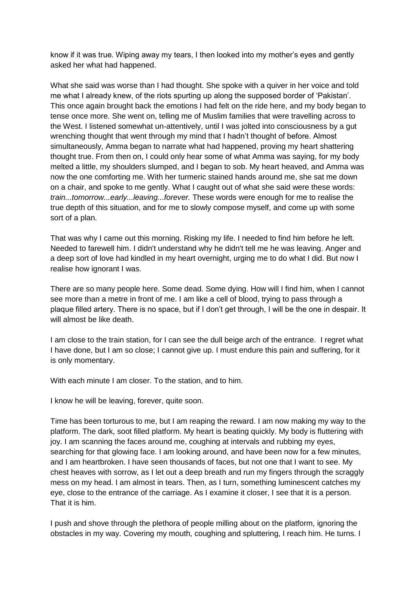know if it was true. Wiping away my tears, I then looked into my mother's eyes and gently asked her what had happened.

What she said was worse than I had thought. She spoke with a quiver in her voice and told me what I already knew, of the riots spurting up along the supposed border of 'Pakistan'. This once again brought back the emotions I had felt on the ride here, and my body began to tense once more. She went on, telling me of Muslim families that were travelling across to the West. I listened somewhat un-attentively, until I was jolted into consciousness by a gut wrenching thought that went through my mind that I hadn't thought of before. Almost simultaneously, Amma began to narrate what had happened, proving my heart shattering thought true. From then on, I could only hear some of what Amma was saying, for my body melted a little, my shoulders slumped, and I began to sob. My heart heaved, and Amma was now the one comforting me. With her turmeric stained hands around me, she sat me down on a chair, and spoke to me gently. What I caught out of what she said were these words: *train...tomorrow...early...leaving...forever.* These words were enough for me to realise the true depth of this situation, and for me to slowly compose myself, and come up with some sort of a plan.

That was why I came out this morning. Risking my life. I needed to find him before he left. Needed to farewell him. I didn't understand why he didn't tell me he was leaving. Anger and a deep sort of love had kindled in my heart overnight, urging me to do what I did. But now I realise how ignorant I was.

There are so many people here. Some dead. Some dying. How will I find him, when I cannot see more than a metre in front of me. I am like a cell of blood, trying to pass through a plaque filled artery. There is no space, but if I don't get through, I will be the one in despair. It will almost be like death.

I am close to the train station, for I can see the dull beige arch of the entrance. I regret what I have done, but I am so close; I cannot give up. I must endure this pain and suffering, for it is only momentary.

With each minute I am closer. To the station, and to him.

I know he will be leaving, forever, quite soon.

Time has been torturous to me, but I am reaping the reward. I am now making my way to the platform. The dark, soot filled platform. My heart is beating quickly. My body is fluttering with joy. I am scanning the faces around me, coughing at intervals and rubbing my eyes, searching for that glowing face. I am looking around, and have been now for a few minutes, and I am heartbroken. I have seen thousands of faces, but not one that I want to see. My chest heaves with sorrow, as I let out a deep breath and run my fingers through the scraggly mess on my head. I am almost in tears. Then, as I turn, something luminescent catches my eye, close to the entrance of the carriage. As I examine it closer, I see that it is a person. That it is him.

I push and shove through the plethora of people milling about on the platform, ignoring the obstacles in my way. Covering my mouth, coughing and spluttering, I reach him. He turns. I